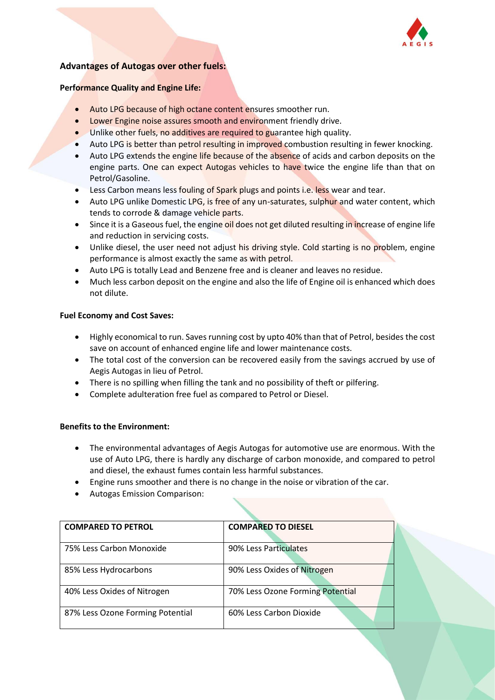

# **Advantages of Autogas over other fuels:**

#### **Performance Quality and Engine Life:**

- Auto LPG because of high octane content ensures smoother run.
- Lower Engine noise assures smooth and environment friendly drive.
- Unlike other fuels, no additives are required to guarantee high quality.
- Auto LPG is better than petrol resulting in improved combustion resulting in fewer knocking.
- Auto LPG extends the engine life because of the absence of acids and carbon deposits on the engine parts. One can expect Autogas vehicles to have twice the engine life than that on Petrol/Gasoline.
- Less Carbon means less fouling of Spark plugs and points i.e. less wear and tear.
- Auto LPG unlike Domestic LPG, is free of any un-saturates, sulphur and water content, which tends to corrode & damage vehicle parts.
- Since it is a Gaseous fuel, the engine oil does not get diluted resulting in increase of engine life and reduction in servicing costs.
- Unlike diesel, the user need not adjust his driving style. Cold starting is no problem, engine performance is almost exactly the same as with petrol.
- Auto LPG is totally Lead and Benzene free and is cleaner and leaves no residue.
- Much less carbon deposit on the engine and also the life of Engine oil is enhanced which does not dilute.

#### **Fuel Economy and Cost Saves:**

- Highly economical to run. Saves running cost by upto 40% than that of Petrol, besides the cost save on account of enhanced engine life and lower maintenance costs.
- The total cost of the conversion can be recovered easily from the savings accrued by use of Aegis Autogas in lieu of Petrol.
- There is no spilling when filling the tank and no possibility of theft or pilfering.
- Complete adulteration free fuel as compared to Petrol or Diesel.

#### **Benefits to the Environment:**

- The environmental advantages of Aegis Autogas for automotive use are enormous. With the use of Auto LPG, there is hardly any discharge of carbon monoxide, and compared to petrol and diesel, the exhaust fumes contain less harmful substances.
- Engine runs smoother and there is no change in the noise or vibration of the car.
- Autogas Emission Comparison:

| <b>COMPARED TO PETROL</b>        | <b>COMPARED TO DIESEL</b>        |  |
|----------------------------------|----------------------------------|--|
| 75% Less Carbon Monoxide         | 90% Less Particulates            |  |
| 85% Less Hydrocarbons            | 90% Less Oxides of Nitrogen      |  |
| 40% Less Oxides of Nitrogen      | 70% Less Ozone Forming Potential |  |
| 87% Less Ozone Forming Potential | 60% Less Carbon Dioxide          |  |